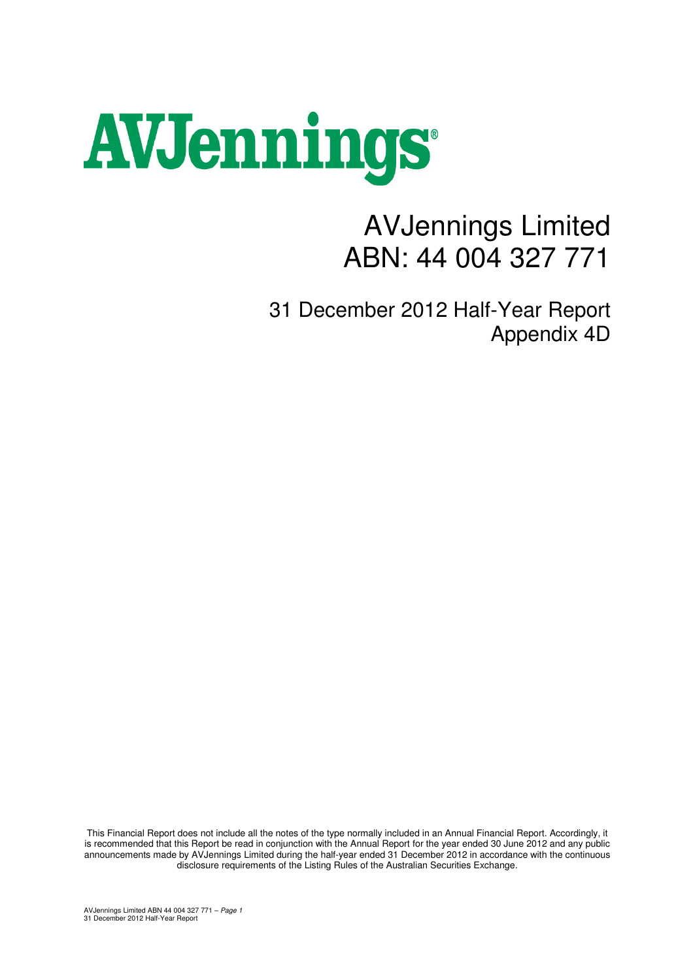# AVJennings

## AVJennings Limited ABN: 44 004 327 771

31 December 2012 Half-Year Report Appendix 4D

This Financial Report does not include all the notes of the type normally included in an Annual Financial Report. Accordingly, it is recommended that this Report be read in conjunction with the Annual Report for the year ended 30 June 2012 and any public announcements made by AVJennings Limited during the half-year ended 31 December 2012 in accordance with the continuous disclosure requirements of the Listing Rules of the Australian Securities Exchange.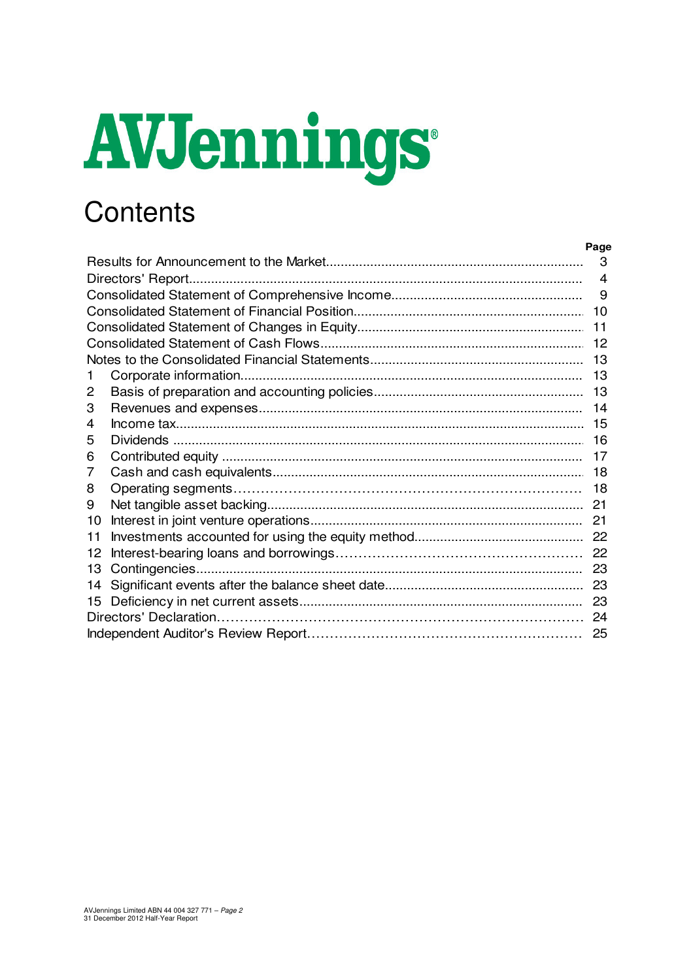# AVJennings

## Contents

|    | Page |
|----|------|
|    | 3    |
|    | 4    |
|    | 9    |
|    | 10   |
|    |      |
|    |      |
|    | - 13 |
|    |      |
| 2  |      |
| 3  |      |
| 4  |      |
| 5  |      |
| 6  | 17   |
| 7  |      |
| 8  |      |
| 9  |      |
| 10 |      |
| 11 |      |
| 12 |      |
| 13 |      |
| 14 |      |
| 15 |      |
|    |      |
|    |      |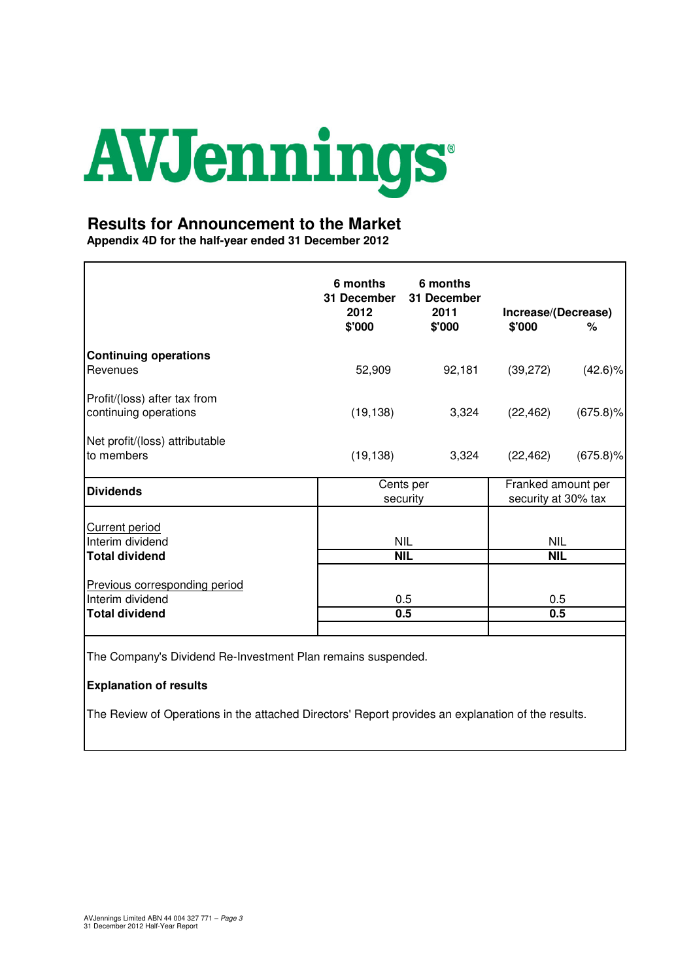

#### **Results for Announcement to the Market**

**Appendix 4D for the half-year ended 31 December 2012**

|                                                       | 6 months<br>31 December<br>2012<br>\$'000 | 6 months<br>31 December<br>2011<br>\$'000 | Increase/(Decrease)<br>\$'000             | %           |
|-------------------------------------------------------|-------------------------------------------|-------------------------------------------|-------------------------------------------|-------------|
| <b>Continuing operations</b>                          |                                           |                                           |                                           |             |
| Revenues                                              | 52,909                                    | 92,181                                    | (39, 272)                                 | $(42.6)\%$  |
| Profit/(loss) after tax from<br>continuing operations | (19, 138)                                 | 3,324                                     | (22, 462)                                 | $(675.8)\%$ |
| Net profit/(loss) attributable                        |                                           |                                           |                                           |             |
| to members                                            | (19, 138)                                 | 3,324                                     | (22, 462)                                 | $(675.8)\%$ |
| <b>Dividends</b>                                      |                                           | Cents per<br>security                     | Franked amount per<br>security at 30% tax |             |
| <b>Current period</b>                                 |                                           |                                           |                                           |             |
| Interim dividend                                      |                                           | <b>NIL</b>                                | <b>NIL</b>                                |             |
| <b>Total dividend</b>                                 |                                           | <b>NIL</b>                                | <b>NIL</b>                                |             |
| Previous corresponding period<br>Interim dividend     |                                           | 0.5                                       | 0.5                                       |             |
| <b>Total dividend</b>                                 |                                           | 0.5                                       | 0.5                                       |             |
|                                                       |                                           |                                           |                                           |             |

The Company's Dividend Re-Investment Plan remains suspended.

#### **Explanation of results**

The Review of Operations in the attached Directors' Report provides an explanation of the results.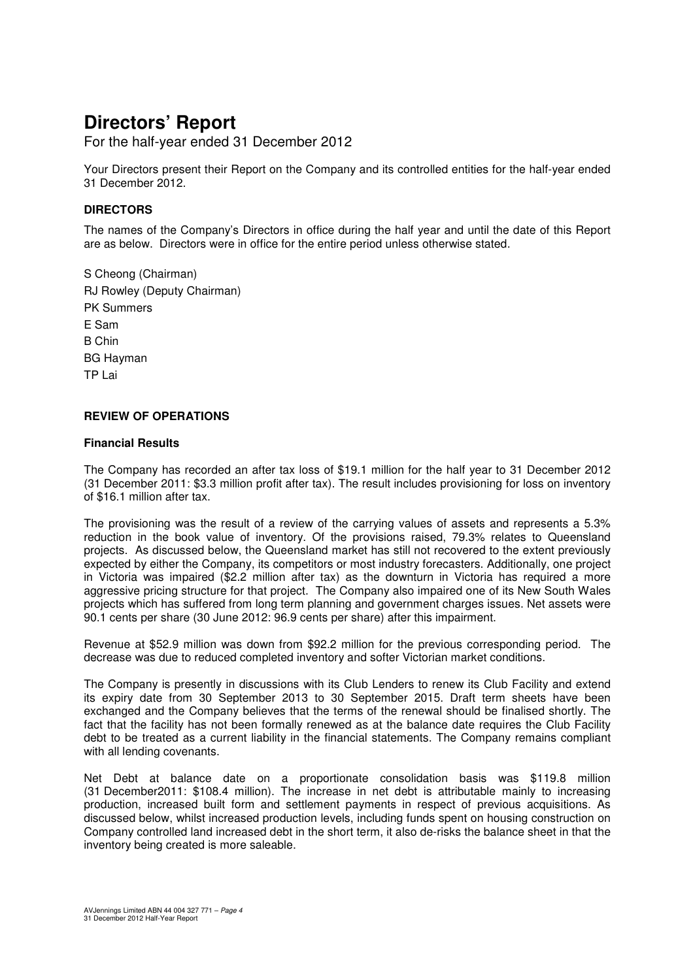For the half-year ended 31 December 2012

Your Directors present their Report on the Company and its controlled entities for the half-year ended 31 December 2012.

#### **DIRECTORS**

The names of the Company's Directors in office during the half year and until the date of this Report are as below. Directors were in office for the entire period unless otherwise stated.

S Cheong (Chairman) RJ Rowley (Deputy Chairman) PK Summers E Sam B Chin BG Hayman TP Lai

#### **REVIEW OF OPERATIONS**

#### **Financial Results**

The Company has recorded an after tax loss of \$19.1 million for the half year to 31 December 2012 (31 December 2011: \$3.3 million profit after tax). The result includes provisioning for loss on inventory of \$16.1 million after tax.

The provisioning was the result of a review of the carrying values of assets and represents a 5.3% reduction in the book value of inventory. Of the provisions raised, 79.3% relates to Queensland projects. As discussed below, the Queensland market has still not recovered to the extent previously expected by either the Company, its competitors or most industry forecasters. Additionally, one project in Victoria was impaired (\$2.2 million after tax) as the downturn in Victoria has required a more aggressive pricing structure for that project. The Company also impaired one of its New South Wales projects which has suffered from long term planning and government charges issues. Net assets were 90.1 cents per share (30 June 2012: 96.9 cents per share) after this impairment.

Revenue at \$52.9 million was down from \$92.2 million for the previous corresponding period. The decrease was due to reduced completed inventory and softer Victorian market conditions.

The Company is presently in discussions with its Club Lenders to renew its Club Facility and extend its expiry date from 30 September 2013 to 30 September 2015. Draft term sheets have been exchanged and the Company believes that the terms of the renewal should be finalised shortly. The fact that the facility has not been formally renewed as at the balance date requires the Club Facility debt to be treated as a current liability in the financial statements. The Company remains compliant with all lending covenants.

Net Debt at balance date on a proportionate consolidation basis was \$119.8 million (31 December2011: \$108.4 million). The increase in net debt is attributable mainly to increasing production, increased built form and settlement payments in respect of previous acquisitions. As discussed below, whilst increased production levels, including funds spent on housing construction on Company controlled land increased debt in the short term, it also de-risks the balance sheet in that the inventory being created is more saleable.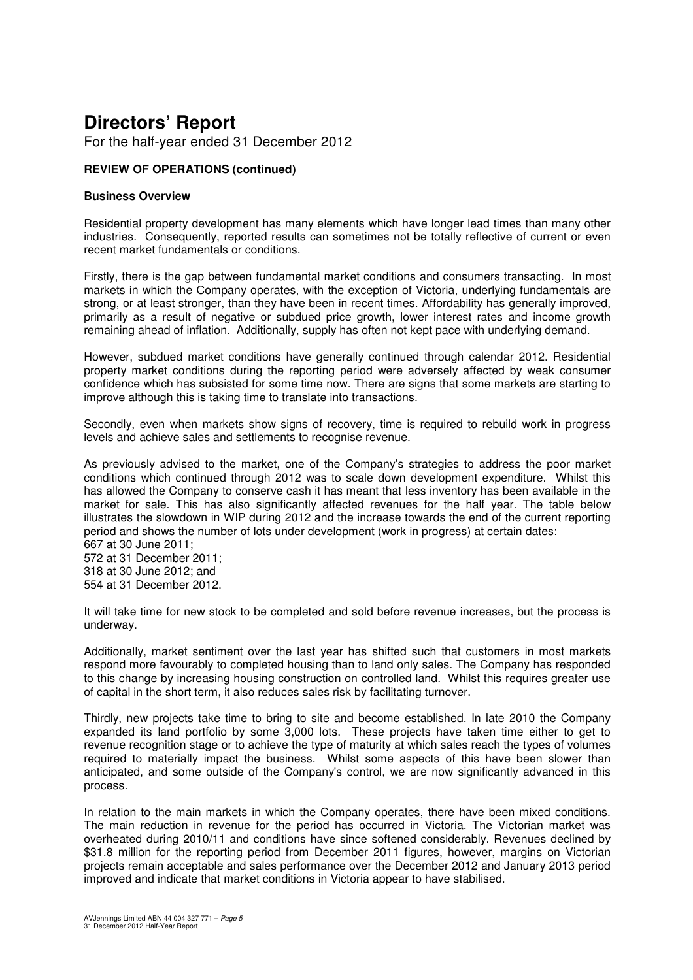For the half-year ended 31 December 2012

#### **REVIEW OF OPERATIONS (continued)**

#### **Business Overview**

Residential property development has many elements which have longer lead times than many other industries. Consequently, reported results can sometimes not be totally reflective of current or even recent market fundamentals or conditions.

Firstly, there is the gap between fundamental market conditions and consumers transacting. In most markets in which the Company operates, with the exception of Victoria, underlying fundamentals are strong, or at least stronger, than they have been in recent times. Affordability has generally improved, primarily as a result of negative or subdued price growth, lower interest rates and income growth remaining ahead of inflation. Additionally, supply has often not kept pace with underlying demand.

However, subdued market conditions have generally continued through calendar 2012. Residential property market conditions during the reporting period were adversely affected by weak consumer confidence which has subsisted for some time now. There are signs that some markets are starting to improve although this is taking time to translate into transactions.

Secondly, even when markets show signs of recovery, time is required to rebuild work in progress levels and achieve sales and settlements to recognise revenue.

As previously advised to the market, one of the Company's strategies to address the poor market conditions which continued through 2012 was to scale down development expenditure. Whilst this has allowed the Company to conserve cash it has meant that less inventory has been available in the market for sale. This has also significantly affected revenues for the half year. The table below illustrates the slowdown in WIP during 2012 and the increase towards the end of the current reporting period and shows the number of lots under development (work in progress) at certain dates:

667 at 30 June 2011; 572 at 31 December 2011; 318 at 30 June 2012; and 554 at 31 December 2012.

It will take time for new stock to be completed and sold before revenue increases, but the process is underway.

Additionally, market sentiment over the last year has shifted such that customers in most markets respond more favourably to completed housing than to land only sales. The Company has responded to this change by increasing housing construction on controlled land. Whilst this requires greater use of capital in the short term, it also reduces sales risk by facilitating turnover.

Thirdly, new projects take time to bring to site and become established. In late 2010 the Company expanded its land portfolio by some 3,000 lots. These projects have taken time either to get to revenue recognition stage or to achieve the type of maturity at which sales reach the types of volumes required to materially impact the business. Whilst some aspects of this have been slower than anticipated, and some outside of the Company's control, we are now significantly advanced in this process.

In relation to the main markets in which the Company operates, there have been mixed conditions. The main reduction in revenue for the period has occurred in Victoria. The Victorian market was overheated during 2010/11 and conditions have since softened considerably. Revenues declined by \$31.8 million for the reporting period from December 2011 figures, however, margins on Victorian projects remain acceptable and sales performance over the December 2012 and January 2013 period improved and indicate that market conditions in Victoria appear to have stabilised.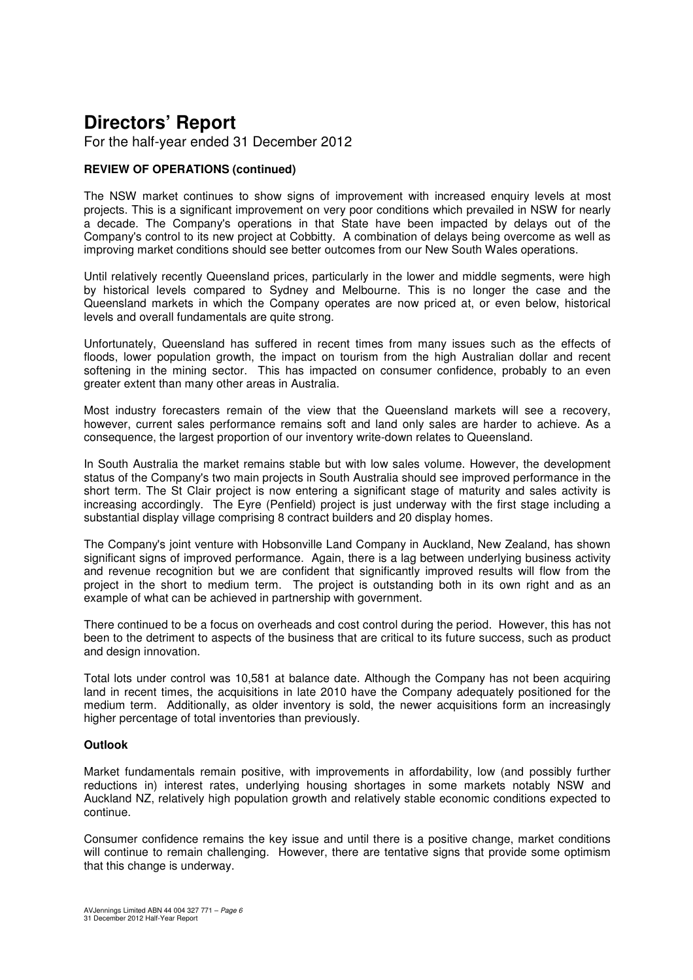For the half-year ended 31 December 2012

#### **REVIEW OF OPERATIONS (continued)**

The NSW market continues to show signs of improvement with increased enquiry levels at most projects. This is a significant improvement on very poor conditions which prevailed in NSW for nearly a decade. The Company's operations in that State have been impacted by delays out of the Company's control to its new project at Cobbitty. A combination of delays being overcome as well as improving market conditions should see better outcomes from our New South Wales operations.

Until relatively recently Queensland prices, particularly in the lower and middle segments, were high by historical levels compared to Sydney and Melbourne. This is no longer the case and the Queensland markets in which the Company operates are now priced at, or even below, historical levels and overall fundamentals are quite strong.

Unfortunately, Queensland has suffered in recent times from many issues such as the effects of floods, lower population growth, the impact on tourism from the high Australian dollar and recent softening in the mining sector. This has impacted on consumer confidence, probably to an even greater extent than many other areas in Australia.

Most industry forecasters remain of the view that the Queensland markets will see a recovery, however, current sales performance remains soft and land only sales are harder to achieve. As a consequence, the largest proportion of our inventory write-down relates to Queensland.

In South Australia the market remains stable but with low sales volume. However, the development status of the Company's two main projects in South Australia should see improved performance in the short term. The St Clair project is now entering a significant stage of maturity and sales activity is increasing accordingly. The Eyre (Penfield) project is just underway with the first stage including a substantial display village comprising 8 contract builders and 20 display homes.

The Company's joint venture with Hobsonville Land Company in Auckland, New Zealand, has shown significant signs of improved performance. Again, there is a lag between underlying business activity and revenue recognition but we are confident that significantly improved results will flow from the project in the short to medium term. The project is outstanding both in its own right and as an example of what can be achieved in partnership with government.

There continued to be a focus on overheads and cost control during the period. However, this has not been to the detriment to aspects of the business that are critical to its future success, such as product and design innovation.

Total lots under control was 10,581 at balance date. Although the Company has not been acquiring land in recent times, the acquisitions in late 2010 have the Company adequately positioned for the medium term. Additionally, as older inventory is sold, the newer acquisitions form an increasingly higher percentage of total inventories than previously.

#### **Outlook**

Market fundamentals remain positive, with improvements in affordability, low (and possibly further reductions in) interest rates, underlying housing shortages in some markets notably NSW and Auckland NZ, relatively high population growth and relatively stable economic conditions expected to continue.

Consumer confidence remains the key issue and until there is a positive change, market conditions will continue to remain challenging. However, there are tentative signs that provide some optimism that this change is underway.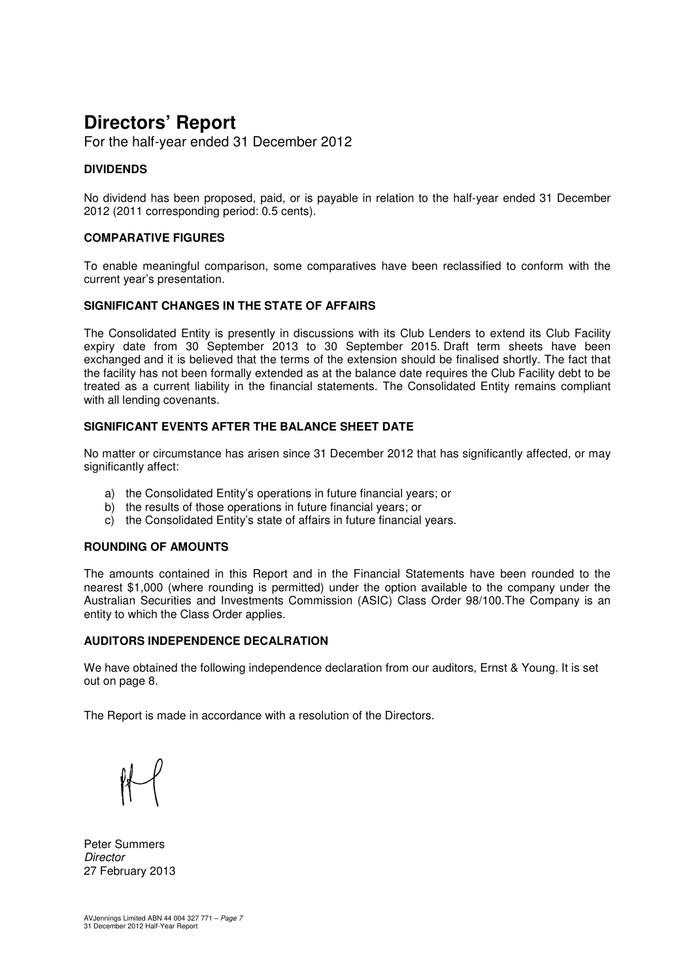For the half-year ended 31 December 2012

#### **DIVIDENDS**

No dividend has been proposed, paid, or is payable in relation to the half-year ended 31 December 2012 (2011 corresponding period: 0.5 cents).

#### **COMPARATIVE FIGURES**

To enable meaningful comparison, some comparatives have been reclassified to conform with the current year's presentation.

#### **SIGNIFICANT CHANGES IN THE STATE OF AFFAIRS**

The Consolidated Entity is presently in discussions with its Club Lenders to extend its Club Facility expiry date from 30 September 2013 to 30 September 2015. Draft term sheets have been exchanged and it is believed that the terms of the extension should be finalised shortly. The fact that the facility has not been formally extended as at the balance date requires the Club Facility debt to be treated as a current liability in the financial statements. The Consolidated Entity remains compliant with all lending covenants.

#### **SIGNIFICANT EVENTS AFTER THE BALANCE SHEET DATE**

No matter or circumstance has arisen since 31 December 2012 that has significantly affected, or may significantly affect:

- a) the Consolidated Entity's operations in future financial years; or
- b) the results of those operations in future financial years; or
- c) the Consolidated Entity's state of affairs in future financial years.

#### **ROUNDING OF AMOUNTS**

The amounts contained in this Report and in the Financial Statements have been rounded to the nearest \$1,000 (where rounding is permitted) under the option available to the company under the Australian Securities and Investments Commission (ASIC) Class Order 98/100.The Company is an entity to which the Class Order applies.

#### **AUDITORS INDEPENDENCE DECALRATION**

We have obtained the following independence declaration from our auditors, Ernst & Young. It is set out on page 8.

The Report is made in accordance with a resolution of the Directors.

Peter Summers **Director** 27 February 2013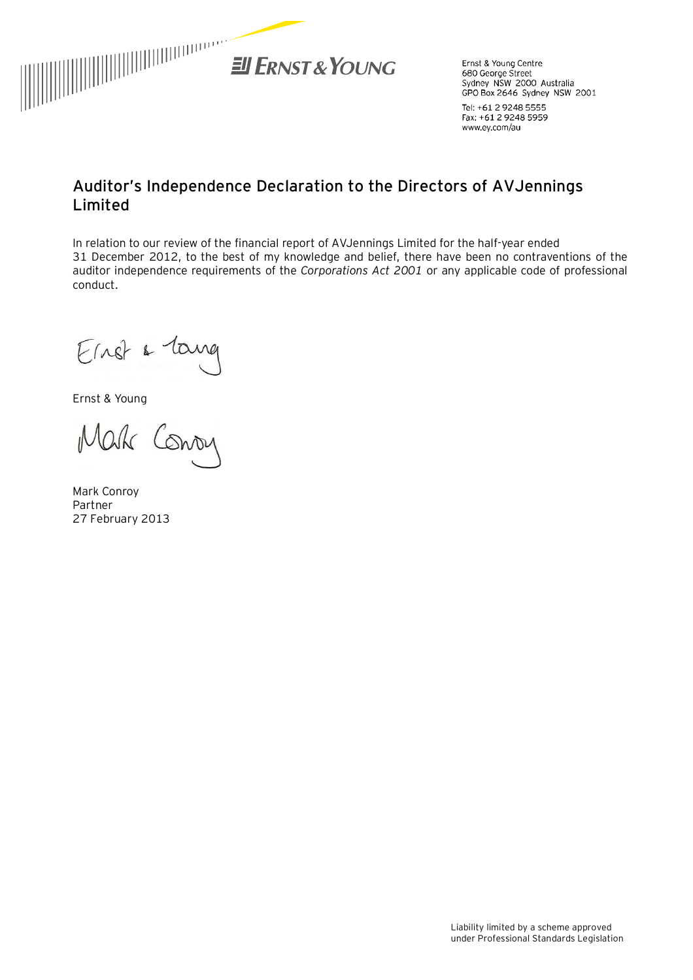

Ernst & Young Centre 680 George Street Sydney NSW 2000 Australia GPO Box 2646 Sydney NSW 2001

Tel: +61 2 9248 5555 Fax: +61 2 9248 5959 www.ey.com/au

### **Auditor's Independence Declaration to the Directors of AVJennings Limited**

In relation to our review of the financial report of AVJennings Limited for the half-year ended 31 December 2012, to the best of my knowledge and belief, there have been no contraventions of the auditor independence requirements of the *Corporations Act 2001* or any applicable code of professional conduct.

Einst a lang

Ernst & Young

Mak Conoy

Mark Conroy Partner 27 February 2013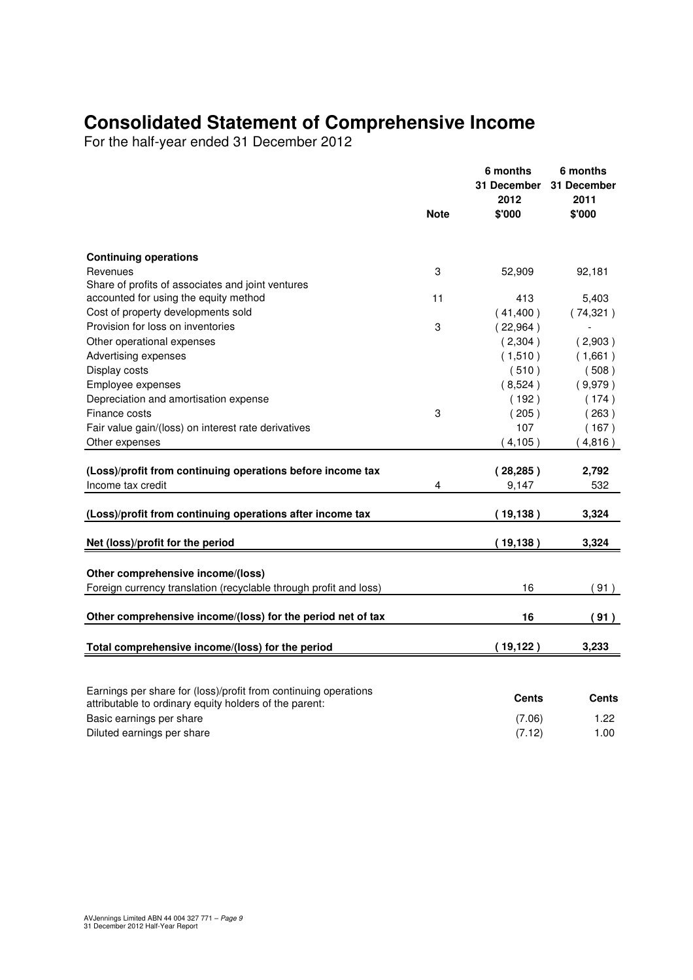## **Consolidated Statement of Comprehensive Income**

For the half-year ended 31 December 2012

|                                                                                            | <b>Note</b> | 6 months<br>31 December<br>2012<br>\$'000 | 6 months<br>31 December<br>2011<br>\$'000 |
|--------------------------------------------------------------------------------------------|-------------|-------------------------------------------|-------------------------------------------|
|                                                                                            |             |                                           |                                           |
| <b>Continuing operations</b>                                                               |             |                                           |                                           |
| Revenues                                                                                   | 3           | 52,909                                    | 92,181                                    |
| Share of profits of associates and joint ventures<br>accounted for using the equity method | 11          | 413                                       | 5,403                                     |
| Cost of property developments sold                                                         |             | (41,400)                                  | (74, 321)                                 |
| Provision for loss on inventories                                                          | 3           | (22,964)                                  |                                           |
| Other operational expenses                                                                 |             | (2,304)                                   |                                           |
| Advertising expenses                                                                       |             | (1,510)                                   | (2,903)<br>(1,661)                        |
| Display costs                                                                              |             | (510)                                     | (508)                                     |
|                                                                                            |             | (8,524)                                   | (9,979)                                   |
| Employee expenses<br>Depreciation and amortisation expense                                 |             | (192)                                     | (174)                                     |
| Finance costs                                                                              | 3           | (205)                                     | (263)                                     |
| Fair value gain/(loss) on interest rate derivatives                                        |             | 107                                       | (167)                                     |
| Other expenses                                                                             |             | (4, 105)                                  | (4,816)                                   |
|                                                                                            |             |                                           |                                           |
| (Loss)/profit from continuing operations before income tax                                 |             | (28, 285)                                 | 2,792                                     |
| Income tax credit                                                                          | 4           | 9,147                                     | 532                                       |
| (Loss)/profit from continuing operations after income tax                                  |             | (19, 138)                                 | 3,324                                     |
| Net (loss)/profit for the period                                                           |             | (19, 138)                                 | 3,324                                     |
| Other comprehensive income/(loss)                                                          |             |                                           |                                           |
| Foreign currency translation (recyclable through profit and loss)                          |             | 16                                        | (91)                                      |
|                                                                                            |             |                                           |                                           |
| Other comprehensive income/(loss) for the period net of tax                                |             | 16                                        | (91)                                      |
| Total comprehensive income/(loss) for the period                                           |             | (19, 122)                                 | 3,233                                     |
|                                                                                            |             |                                           |                                           |
| Earnings per share for (loss)/profit from continuing operations                            |             | Cents                                     | <b>Cents</b>                              |
| attributable to ordinary equity holders of the parent:                                     |             |                                           |                                           |
| Basic earnings per share                                                                   |             | (7.06)                                    | 1.22                                      |
| Diluted earnings per share                                                                 |             | (7.12)                                    | 1.00                                      |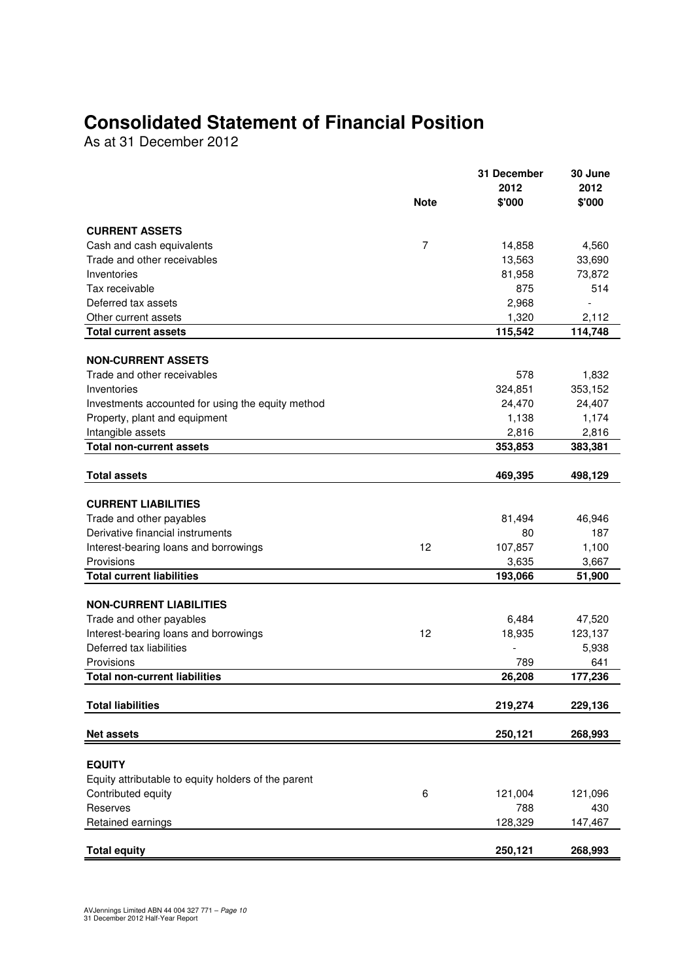## **Consolidated Statement of Financial Position**

As at 31 December 2012

|                                                     | <b>Note</b> | 31 December<br>2012<br>\$'000 | 30 June<br>2012<br>\$'000 |
|-----------------------------------------------------|-------------|-------------------------------|---------------------------|
| <b>CURRENT ASSETS</b>                               |             |                               |                           |
| Cash and cash equivalents                           | 7           | 14,858                        | 4,560                     |
| Trade and other receivables                         |             | 13,563                        | 33,690                    |
| Inventories                                         |             | 81,958                        | 73,872                    |
| Tax receivable                                      |             | 875                           | 514                       |
| Deferred tax assets                                 |             | 2,968                         |                           |
| Other current assets                                |             | 1,320                         | 2,112                     |
| <b>Total current assets</b>                         |             | 115,542                       | 114,748                   |
| <b>NON-CURRENT ASSETS</b>                           |             |                               |                           |
| Trade and other receivables                         |             | 578                           | 1,832                     |
| Inventories                                         |             | 324,851                       | 353,152                   |
| Investments accounted for using the equity method   |             | 24,470                        | 24,407                    |
| Property, plant and equipment                       |             | 1,138                         | 1,174                     |
| Intangible assets                                   |             | 2,816                         | 2,816                     |
| <b>Total non-current assets</b>                     |             | 353,853                       | 383,381                   |
|                                                     |             |                               |                           |
| <b>Total assets</b>                                 |             | 469,395                       | 498,129                   |
| <b>CURRENT LIABILITIES</b>                          |             |                               |                           |
| Trade and other payables                            |             | 81,494                        | 46,946                    |
| Derivative financial instruments                    |             | 80                            | 187                       |
| Interest-bearing loans and borrowings               | 12          | 107,857                       | 1,100                     |
| Provisions                                          |             | 3,635                         | 3,667                     |
| <b>Total current liabilities</b>                    |             | 193,066                       | 51,900                    |
|                                                     |             |                               |                           |
| <b>NON-CURRENT LIABILITIES</b>                      |             |                               |                           |
| Trade and other payables                            |             | 6,484                         | 47,520                    |
| Interest-bearing loans and borrowings               | 12          | 18,935                        | 123,137                   |
| Deferred tax liabilities                            |             |                               | 5,938                     |
| Provisions                                          |             | 789                           | 641                       |
| <b>Total non-current liabilities</b>                |             | 26,208                        | 177,236                   |
| <b>Total liabilities</b>                            |             | 219,274                       | 229,136                   |
| <b>Net assets</b>                                   |             | 250,121                       | 268,993                   |
|                                                     |             |                               |                           |
| <b>EQUITY</b>                                       |             |                               |                           |
| Equity attributable to equity holders of the parent |             |                               |                           |
| Contributed equity                                  | 6           | 121,004                       | 121,096                   |
| Reserves                                            |             | 788                           | 430                       |
| Retained earnings                                   |             | 128,329                       | 147,467                   |
| <b>Total equity</b>                                 |             | 250,121                       | 268,993                   |
|                                                     |             |                               |                           |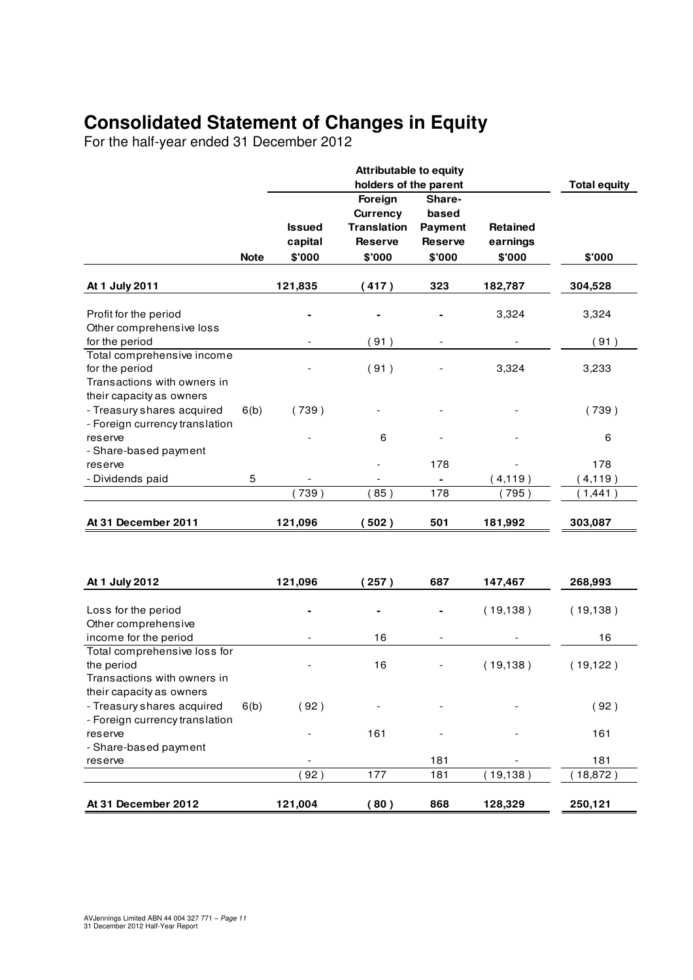## **Consolidated Statement of Changes in Equity**

For the half-year ended 31 December 2012

|                                                                                                         |             |                                    | <b>Attributable to equity</b>                       |                                            |                                       |                     |
|---------------------------------------------------------------------------------------------------------|-------------|------------------------------------|-----------------------------------------------------|--------------------------------------------|---------------------------------------|---------------------|
|                                                                                                         |             |                                    | holders of the parent<br>Foreign<br><b>Currency</b> | Share-<br>based                            |                                       | <b>Total equity</b> |
|                                                                                                         | <b>Note</b> | <b>Issued</b><br>capital<br>\$'000 | <b>Translation</b><br><b>Reserve</b><br>\$'000      | <b>Payment</b><br><b>Reserve</b><br>\$'000 | <b>Retained</b><br>earnings<br>\$'000 | \$'000              |
|                                                                                                         |             |                                    |                                                     |                                            |                                       |                     |
| At 1 July 2011                                                                                          |             | 121,835                            | (417)                                               | 323                                        | 182,787                               | 304,528             |
| Profit for the period<br>Other comprehensive loss                                                       |             |                                    |                                                     |                                            | 3,324                                 | 3,324               |
| for the period                                                                                          |             |                                    | (91)                                                |                                            |                                       | (91)                |
| Total comprehensive income<br>for the period<br>Transactions with owners in<br>their capacity as owners |             |                                    | (91)                                                |                                            | 3,324                                 | 3,233               |
| - Treasury shares acquired<br>- Foreign currency translation                                            | 6(b)        | (739)                              |                                                     |                                            |                                       | (739)               |
| reserve<br>- Share-based payment                                                                        |             |                                    | 6                                                   |                                            |                                       | 6                   |
| reserve                                                                                                 |             |                                    |                                                     | 178                                        |                                       | 178                 |
| - Dividends paid                                                                                        | 5           |                                    |                                                     | ۰                                          | (4, 119)                              | (4, 119)            |
|                                                                                                         |             | (739)                              | 85)                                                 | 178                                        | (795)                                 | (1,441)             |
| At 31 December 2011                                                                                     |             | 121,096                            | (502)                                               | 501                                        | 181,992                               | 303,087             |
|                                                                                                         |             |                                    |                                                     |                                            |                                       |                     |
| At 1 July 2012                                                                                          |             | 121,096                            | (257)                                               | 687                                        | 147,467                               | 268,993             |
| Loss for the period<br>Other comprehensive                                                              |             |                                    |                                                     |                                            | (19, 138)                             | (19, 138)           |
| income for the period                                                                                   |             |                                    | 16                                                  | $\overline{a}$                             |                                       | 16                  |
| Total comprehensive loss for<br>the period<br>Transactions with owners in                               |             |                                    | 16                                                  |                                            | (19, 138)                             | (19, 122)           |
| their capacity as owners<br>- Treasury shares acquired<br>- Foreign currency translation                | 6(b)        | (92)                               |                                                     |                                            |                                       | (92)                |
| reserve<br>- Share-based payment                                                                        |             |                                    | 161                                                 |                                            |                                       | 161                 |
| reserve                                                                                                 |             |                                    |                                                     | 181                                        |                                       | 181                 |
|                                                                                                         |             | 92)                                | 177                                                 | 181                                        | (19, 138)                             | (18, 872)           |
| At 31 December 2012                                                                                     |             | 121,004                            | (80)                                                | 868                                        | 128,329                               | 250,121             |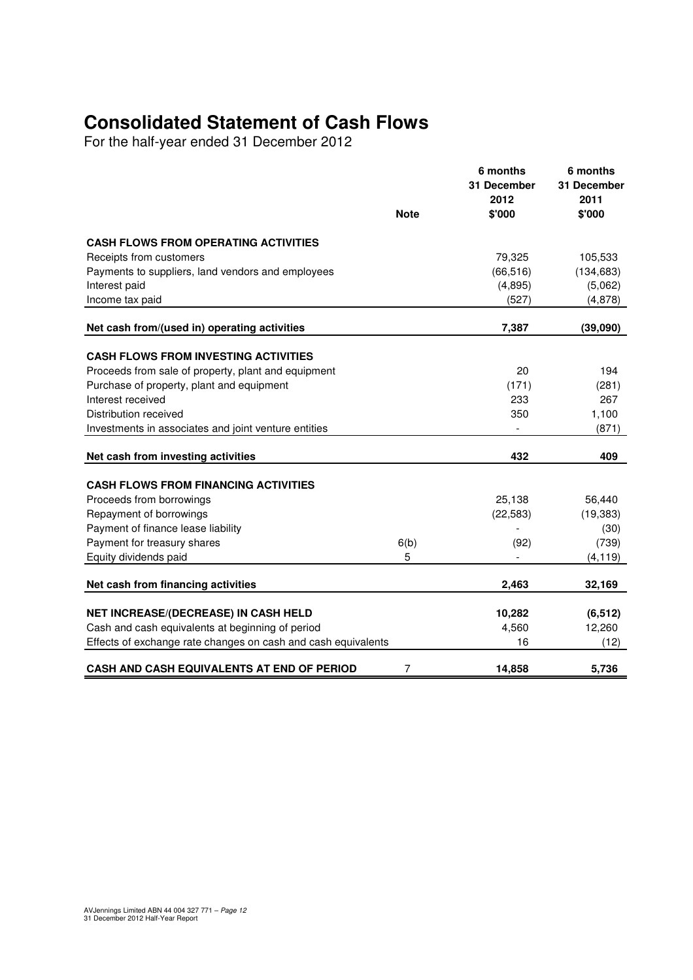## **Consolidated Statement of Cash Flows**

For the half-year ended 31 December 2012

|                                                               | <b>Note</b> | 6 months<br>31 December<br>2012<br>\$'000 | 6 months<br>31 December<br>2011<br>\$'000 |
|---------------------------------------------------------------|-------------|-------------------------------------------|-------------------------------------------|
|                                                               |             |                                           |                                           |
| <b>CASH FLOWS FROM OPERATING ACTIVITIES</b>                   |             |                                           |                                           |
| Receipts from customers                                       |             | 79,325                                    | 105,533                                   |
| Payments to suppliers, land vendors and employees             |             | (66, 516)                                 | (134, 683)                                |
| Interest paid<br>Income tax paid                              |             | (4,895)<br>(527)                          | (5,062)<br>(4,878)                        |
|                                                               |             |                                           |                                           |
| Net cash from/(used in) operating activities                  |             | 7,387                                     | (39,090)                                  |
| <b>CASH FLOWS FROM INVESTING ACTIVITIES</b>                   |             |                                           |                                           |
| Proceeds from sale of property, plant and equipment           |             | 20                                        | 194                                       |
| Purchase of property, plant and equipment                     |             | (171)                                     | (281)                                     |
| Interest received                                             |             | 233                                       | 267                                       |
| Distribution received                                         |             | 350                                       | 1,100                                     |
| Investments in associates and joint venture entities          |             |                                           | (871)                                     |
| Net cash from investing activities                            |             | 432                                       | 409                                       |
| <b>CASH FLOWS FROM FINANCING ACTIVITIES</b>                   |             |                                           |                                           |
| Proceeds from borrowings                                      |             | 25,138                                    | 56,440                                    |
| Repayment of borrowings                                       |             | (22, 583)                                 | (19, 383)                                 |
| Payment of finance lease liability                            |             |                                           | (30)                                      |
| Payment for treasury shares                                   | 6(b)        | (92)                                      | (739)                                     |
| Equity dividends paid                                         | 5           | $\blacksquare$                            | (4, 119)                                  |
|                                                               |             |                                           |                                           |
| Net cash from financing activities                            |             | 2,463                                     | 32,169                                    |
| NET INCREASE/(DECREASE) IN CASH HELD                          |             | 10,282                                    | (6, 512)                                  |
| Cash and cash equivalents at beginning of period              |             | 4,560                                     | 12,260                                    |
| Effects of exchange rate changes on cash and cash equivalents |             | 16                                        | (12)                                      |
| CASH AND CASH EQUIVALENTS AT END OF PERIOD                    | 7           | 14,858                                    | 5,736                                     |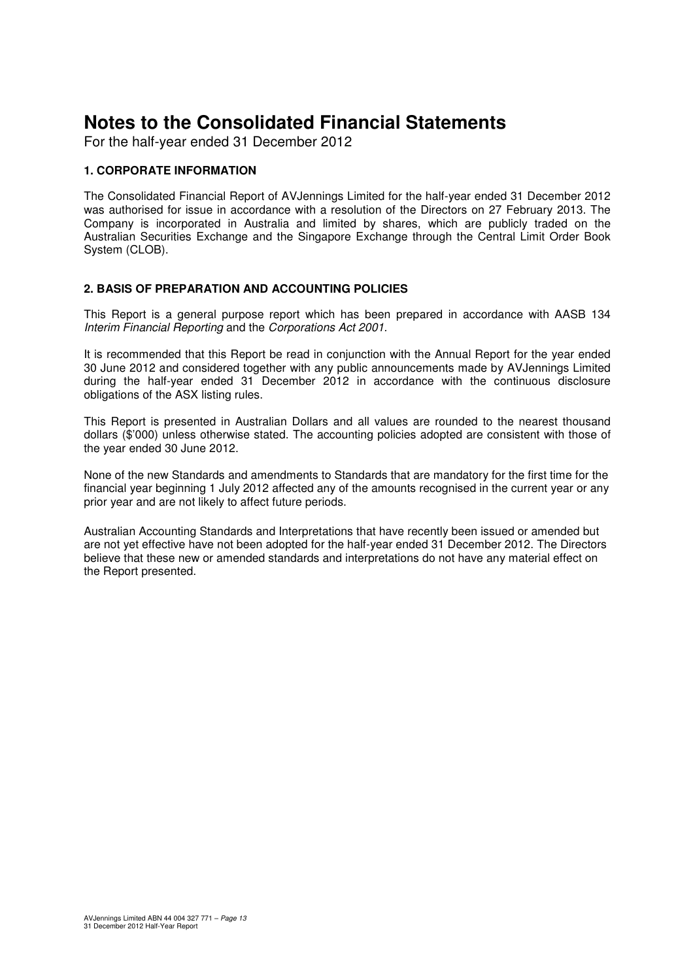For the half-year ended 31 December 2012

#### **1. CORPORATE INFORMATION**

The Consolidated Financial Report of AVJennings Limited for the half-year ended 31 December 2012 was authorised for issue in accordance with a resolution of the Directors on 27 February 2013. The Company is incorporated in Australia and limited by shares, which are publicly traded on the Australian Securities Exchange and the Singapore Exchange through the Central Limit Order Book System (CLOB).

#### **2. BASIS OF PREPARATION AND ACCOUNTING POLICIES**

This Report is a general purpose report which has been prepared in accordance with AASB 134 Interim Financial Reporting and the Corporations Act 2001.

It is recommended that this Report be read in conjunction with the Annual Report for the year ended 30 June 2012 and considered together with any public announcements made by AVJennings Limited during the half-year ended 31 December 2012 in accordance with the continuous disclosure obligations of the ASX listing rules.

This Report is presented in Australian Dollars and all values are rounded to the nearest thousand dollars (\$'000) unless otherwise stated. The accounting policies adopted are consistent with those of the year ended 30 June 2012.

None of the new Standards and amendments to Standards that are mandatory for the first time for the financial year beginning 1 July 2012 affected any of the amounts recognised in the current year or any prior year and are not likely to affect future periods.

Australian Accounting Standards and Interpretations that have recently been issued or amended but are not yet effective have not been adopted for the half-year ended 31 December 2012. The Directors believe that these new or amended standards and interpretations do not have any material effect on the Report presented.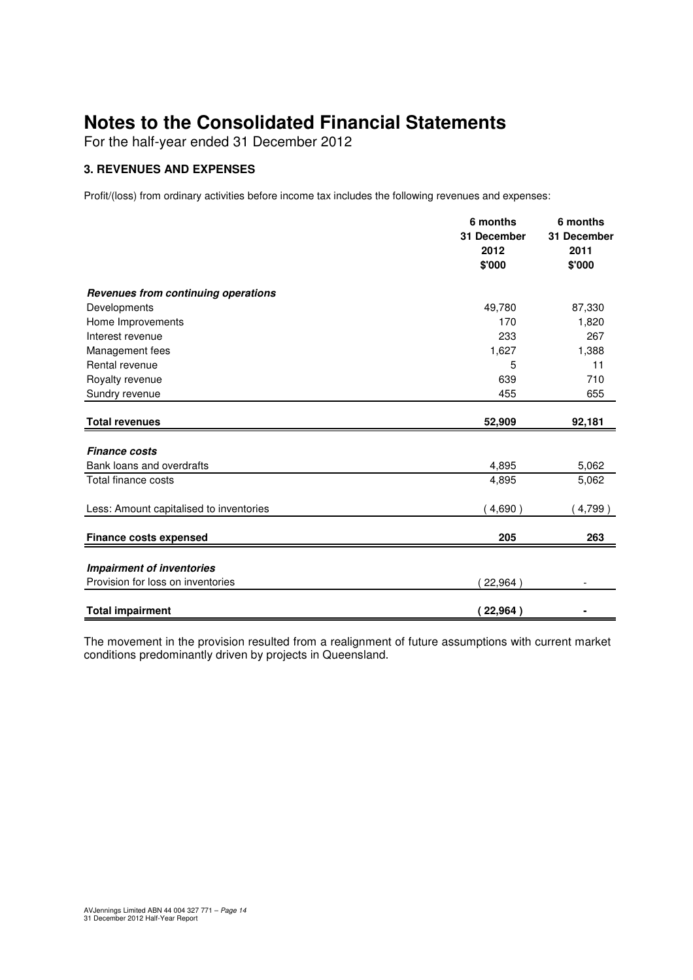For the half-year ended 31 December 2012

#### **3. REVENUES AND EXPENSES**

Profit/(loss) from ordinary activities before income tax includes the following revenues and expenses:

|                                         | 6 months<br>31 December<br>2012<br>\$'000 | 6 months<br>31 December<br>2011<br>\$'000 |
|-----------------------------------------|-------------------------------------------|-------------------------------------------|
| Revenues from continuing operations     |                                           |                                           |
| Developments                            | 49,780                                    | 87,330                                    |
| Home Improvements                       | 170                                       | 1,820                                     |
| Interest revenue                        | 233                                       | 267                                       |
| Management fees                         | 1,627                                     | 1,388                                     |
| Rental revenue                          | 5                                         | 11                                        |
| Royalty revenue                         | 639                                       | 710                                       |
| Sundry revenue                          | 455                                       | 655                                       |
| <b>Total revenues</b>                   | 52,909                                    | 92,181                                    |
| <b>Finance costs</b>                    |                                           |                                           |
| Bank loans and overdrafts               | 4,895                                     | 5,062                                     |
| Total finance costs                     | 4,895                                     | 5,062                                     |
| Less: Amount capitalised to inventories | 4,690                                     | 4,799)                                    |
| <b>Finance costs expensed</b>           | 205                                       | 263                                       |
|                                         |                                           |                                           |
| <b>Impairment of inventories</b>        |                                           |                                           |
| Provision for loss on inventories       | 22,964)                                   |                                           |
| <b>Total impairment</b>                 | 22,964)                                   |                                           |

The movement in the provision resulted from a realignment of future assumptions with current market conditions predominantly driven by projects in Queensland.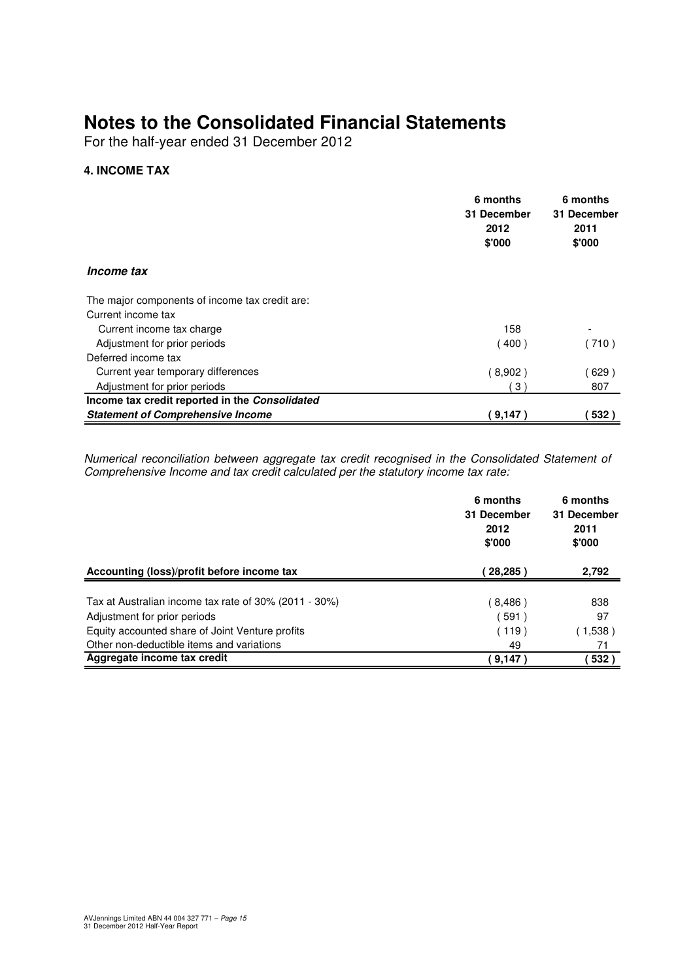For the half-year ended 31 December 2012

#### **4. INCOME TAX**

|                                                | 6 months<br>31 December<br>2012<br>\$'000 | 6 months<br>31 December<br>2011<br>\$'000 |
|------------------------------------------------|-------------------------------------------|-------------------------------------------|
| <i>Income tax</i>                              |                                           |                                           |
| The major components of income tax credit are: |                                           |                                           |
| Current income tax                             |                                           |                                           |
| Current income tax charge                      | 158                                       |                                           |
| Adjustment for prior periods                   | (400)                                     | (710)                                     |
| Deferred income tax                            |                                           |                                           |
| Current year temporary differences             | (8,902)                                   | 629)                                      |
| Adjustment for prior periods                   | 3)                                        | 807                                       |
| Income tax credit reported in the Consolidated |                                           |                                           |
| <b>Statement of Comprehensive Income</b>       | (9,147)                                   | 532)                                      |

Numerical reconciliation between aggregate tax credit recognised in the Consolidated Statement of Comprehensive Income and tax credit calculated per the statutory income tax rate:

|                                                       | 6 months<br>31 December<br>2012<br>\$'000 | 6 months<br>31 December<br>2011<br>\$'000 |
|-------------------------------------------------------|-------------------------------------------|-------------------------------------------|
| Accounting (loss)/profit before income tax            | 28,285                                    | 2,792                                     |
| Tax at Australian income tax rate of 30% (2011 - 30%) | (8,486)                                   | 838                                       |
| Adjustment for prior periods                          | 591)                                      | 97                                        |
| Equity accounted share of Joint Venture profits       | (119)                                     | (1,538)                                   |
| Other non-deductible items and variations             | 49                                        | 71                                        |
| Aggregate income tax credit                           | 9,147                                     | 532)                                      |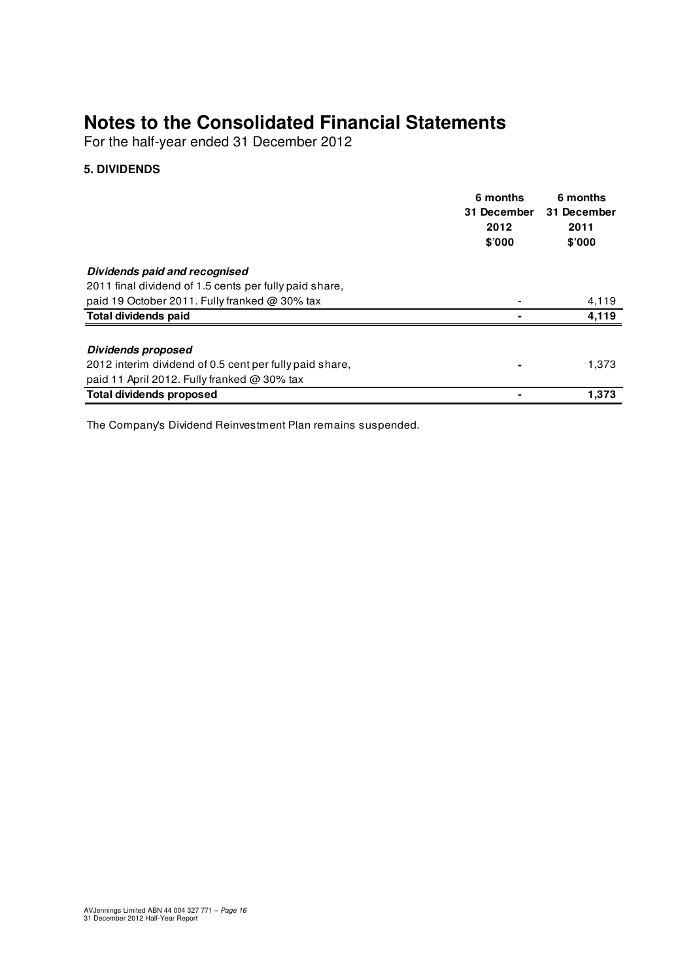For the half-year ended 31 December 2012

#### **5. DIVIDENDS**

|                                                         | 6 months<br>31 December<br>2012<br>\$'000 | 6 months<br>31 December<br>2011<br>\$'000 |
|---------------------------------------------------------|-------------------------------------------|-------------------------------------------|
| Dividends paid and recognised                           |                                           |                                           |
| 2011 final dividend of 1.5 cents per fully paid share,  |                                           |                                           |
| paid 19 October 2011. Fully franked @ 30% tax           |                                           | 4,119                                     |
| <b>Total dividends paid</b>                             |                                           | 4,119                                     |
| <b>Dividends proposed</b>                               |                                           |                                           |
| 2012 interim dividend of 0.5 cent per fully paid share, |                                           | 1,373                                     |
| paid 11 April 2012. Fully franked $@$ 30% tax           |                                           |                                           |
| <b>Total dividends proposed</b>                         |                                           | 1,373                                     |

The Company's Dividend Reinvestment Plan remains suspended.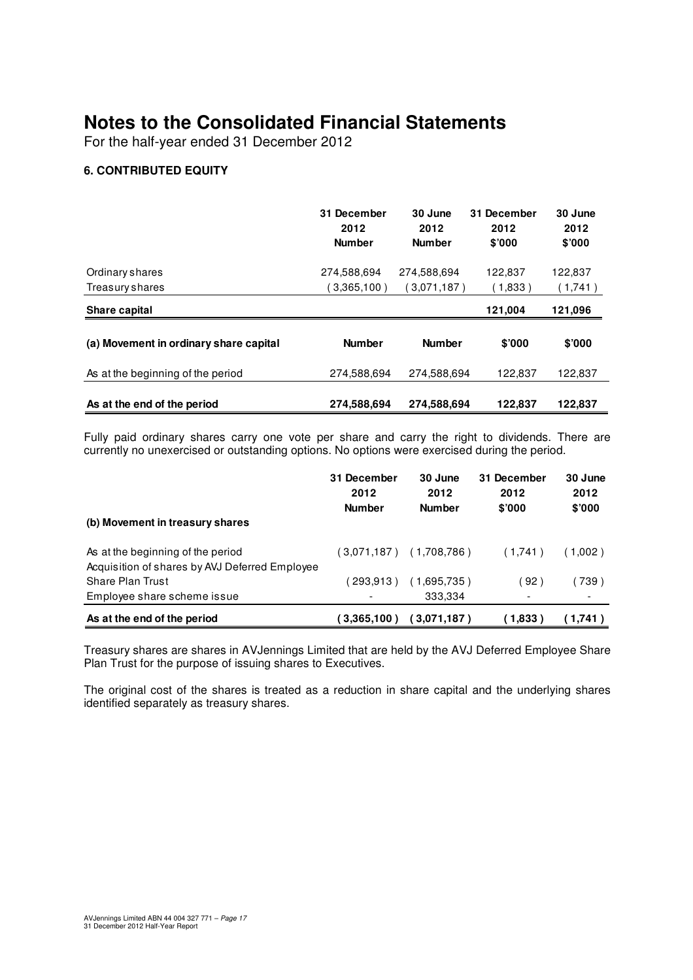For the half-year ended 31 December 2012

#### **6. CONTRIBUTED EQUITY**

|                                        | 31 December<br>2012<br><b>Number</b> | 30 June<br>2012<br><b>Number</b> | 31 December<br>2012<br>\$'000 | 30 June<br>2012<br>\$'000 |
|----------------------------------------|--------------------------------------|----------------------------------|-------------------------------|---------------------------|
| Ordinary shares                        | 274,588,694                          | 274,588,694                      | 122.837                       | 122,837                   |
| Treasury shares                        | $3,365,100$ )                        | ( 3.071.187 )                    | (1,833)                       | (1,741)                   |
| Share capital                          |                                      |                                  | 121,004                       | 121,096                   |
| (a) Movement in ordinary share capital | <b>Number</b>                        | <b>Number</b>                    | \$'000                        | \$7000                    |
| As at the beginning of the period      | 274,588,694                          | 274,588,694                      | 122,837                       | 122,837                   |
| As at the end of the period            | 274,588,694                          | 274,588,694                      | 122,837                       | 122,837                   |

Fully paid ordinary shares carry one vote per share and carry the right to dividends. There are currently no unexercised or outstanding options. No options were exercised during the period.

|                                                                                     | 31 December<br>2012<br><b>Number</b> | 30 June<br>2012<br><b>Number</b> | 31 December<br>2012<br>\$'000 | 30 June<br>2012<br>\$'000 |
|-------------------------------------------------------------------------------------|--------------------------------------|----------------------------------|-------------------------------|---------------------------|
| (b) Movement in treasury shares                                                     |                                      |                                  |                               |                           |
| As at the beginning of the period<br>Acquisition of shares by AVJ Deferred Employee |                                      | (3,071,187) (1,708,786)          | (1,741)                       | (1.002)                   |
| <b>Share Plan Trust</b>                                                             | 293.913                              | (1,695,735)                      | 92)                           | 〔739〕                     |
| Employee share scheme issue                                                         |                                      | 333.334                          | $\overline{\phantom{0}}$      |                           |
| As at the end of the period                                                         | (3.365.100)                          | (3,071,187)                      | (1.833)                       | (1,741)                   |

Treasury shares are shares in AVJennings Limited that are held by the AVJ Deferred Employee Share Plan Trust for the purpose of issuing shares to Executives.

The original cost of the shares is treated as a reduction in share capital and the underlying shares identified separately as treasury shares.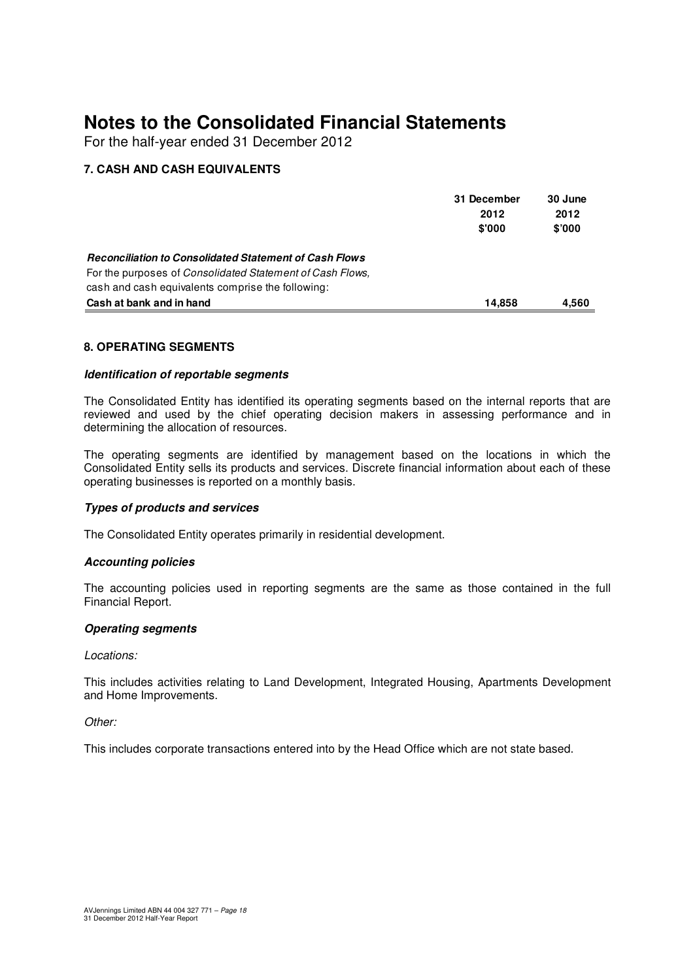For the half-year ended 31 December 2012

#### **7. CASH AND CASH EQUIVALENTS**

|                                                                   | 31 December | 30 June |
|-------------------------------------------------------------------|-------------|---------|
|                                                                   | 2012        | 2012    |
|                                                                   | \$'000      | \$'000  |
| <b>Reconciliation to Consolidated Statement of Cash Flows</b>     |             |         |
| For the purposes of <i>Consolidated Statement of Cash Flows</i> , |             |         |
| cash and cash equivalents comprise the following:                 |             |         |
| Cash at bank and in hand                                          | 14.858      | 4.560   |

#### **8. OPERATING SEGMENTS**

#### **Identification of reportable segments**

The Consolidated Entity has identified its operating segments based on the internal reports that are reviewed and used by the chief operating decision makers in assessing performance and in determining the allocation of resources.

The operating segments are identified by management based on the locations in which the Consolidated Entity sells its products and services. Discrete financial information about each of these operating businesses is reported on a monthly basis.

#### **Types of products and services**

The Consolidated Entity operates primarily in residential development.

#### **Accounting policies**

The accounting policies used in reporting segments are the same as those contained in the full Financial Report.

#### **Operating segments**

#### Locations:

This includes activities relating to Land Development, Integrated Housing, Apartments Development and Home Improvements.

#### Other:

This includes corporate transactions entered into by the Head Office which are not state based.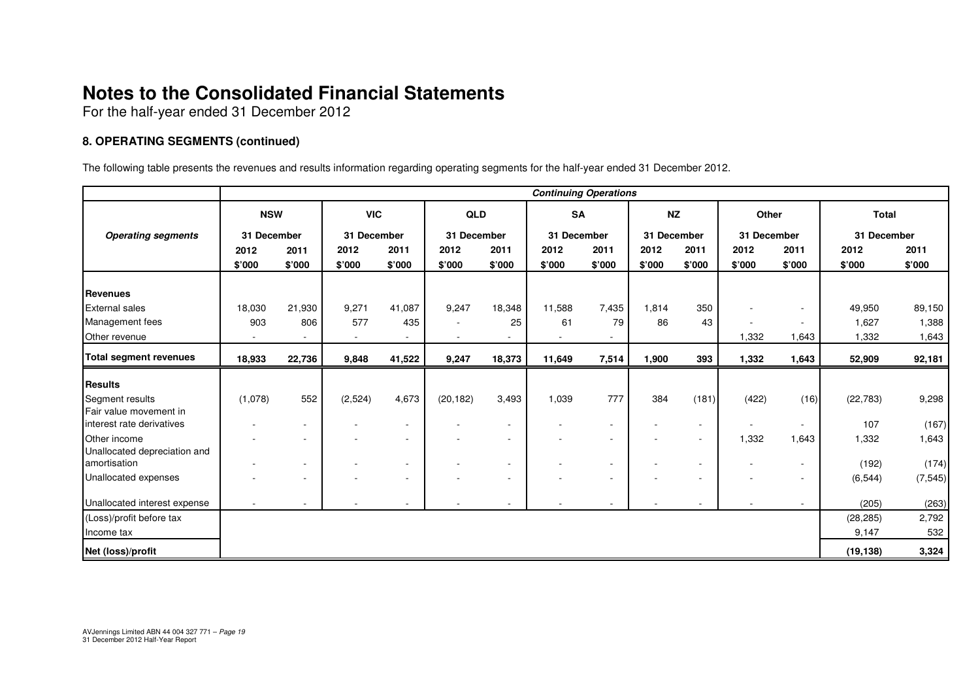For the half-year ended 31 December 2012

#### **8. OPERATING SEGMENTS (continued)**

The following table presents the revenues and results information regarding operating segments for the half-year ended 31 December 2012.

|                                              | <b>Continuing Operations</b> |        |             |             |             |        |             |                          |             |                                    |             |                  |                   |          |
|----------------------------------------------|------------------------------|--------|-------------|-------------|-------------|--------|-------------|--------------------------|-------------|------------------------------------|-------------|------------------|-------------------|----------|
|                                              | <b>NSW</b>                   |        | <b>VIC</b>  |             | <b>QLD</b>  |        | <b>SA</b>   |                          | <b>NZ</b>   |                                    | Other       |                  | <b>Total</b>      |          |
| <b>Operating segments</b>                    | 31 December                  |        | 31 December |             | 31 December |        | 31 December |                          | 31 December |                                    | 31 December |                  | 31 December       |          |
|                                              | 2012                         | 2011   | 2012        | 2011        | 2012        | 2011   | 2012        | 2011                     | 2012        | 2011                               | 2012        | 2011             | 2012              | 2011     |
|                                              | \$'000                       | \$'000 | \$'000      | \$'000      | \$'000      | \$'000 | \$'000      | \$'000                   | \$'000      | \$'000                             | \$'000      | \$'000           | \$'000            | \$'000   |
| Revenues                                     |                              |        |             |             |             |        |             |                          |             |                                    |             |                  |                   |          |
| <b>External sales</b>                        | 18,030                       | 21,930 | 9,271       | 41,087      | 9,247       | 18,348 | 11,588      | 7,435                    | 1,814       | 350                                |             | $\sim$           | 49,950            | 89,150   |
| Management fees                              | 903                          | 806    | 577         | 435         |             | 25     | 61          | 79                       | 86          | 43                                 |             | $\sim$           | 1,627             | 1,388    |
| Other revenue                                |                              |        | ٠           | $\sim$      |             |        |             |                          |             |                                    | 1,332       | 1,643            | 1,332             | 1,643    |
| <b>Total segment revenues</b>                | 18,933                       | 22,736 | 9,848       | 41,522      | 9,247       | 18,373 | 11,649      | 7,514                    | 1,900       | 393                                | 1,332       | 1,643            | 52,909            | 92,181   |
| Results                                      |                              |        |             |             |             |        |             |                          |             |                                    |             |                  |                   |          |
| Segment results                              | (1,078)                      | 552    | (2,524)     | 4,673       | (20, 182)   | 3,493  | 1,039       | 777                      | 384         | (181)                              | (422)       | (16)             | (22, 783)         | 9,298    |
| Fair value movement in                       |                              |        |             |             |             |        |             |                          |             |                                    |             |                  |                   |          |
| interest rate derivatives                    |                              |        |             | $\sim$      |             |        |             | $\sim$                   |             | $\sim$                             |             | $\sim$           | 107               | (167)    |
| <b>Other</b> income                          |                              |        |             | $\sim$      |             |        |             | ٠                        |             | $\sim$                             | 1,332       | 1,643            | 1,332             | 1,643    |
| Unallocated depreciation and<br>amortisation |                              |        |             |             |             |        |             |                          |             |                                    |             |                  |                   |          |
| Unallocated expenses                         |                              |        |             | ٠<br>$\sim$ |             |        |             | $\overline{\phantom{a}}$ |             | $\overline{\phantom{a}}$<br>$\sim$ |             | $\sim$<br>$\sim$ | (192)<br>(6, 544) | (174)    |
|                                              |                              |        |             |             |             |        |             |                          |             |                                    |             |                  |                   | (7, 545) |
| Unallocated interest expense                 |                              |        |             |             |             |        |             |                          |             |                                    |             | $\sim$           | (205)             | (263)    |
| (Loss)/profit before tax                     |                              |        |             |             |             |        |             |                          |             |                                    |             |                  | (28, 285)         | 2,792    |
| Income tax                                   |                              |        |             |             |             |        |             |                          |             |                                    |             |                  | 9,147             | 532      |
| Net (loss)/profit                            |                              |        |             |             |             |        |             |                          |             |                                    |             |                  | (19, 138)         | 3,324    |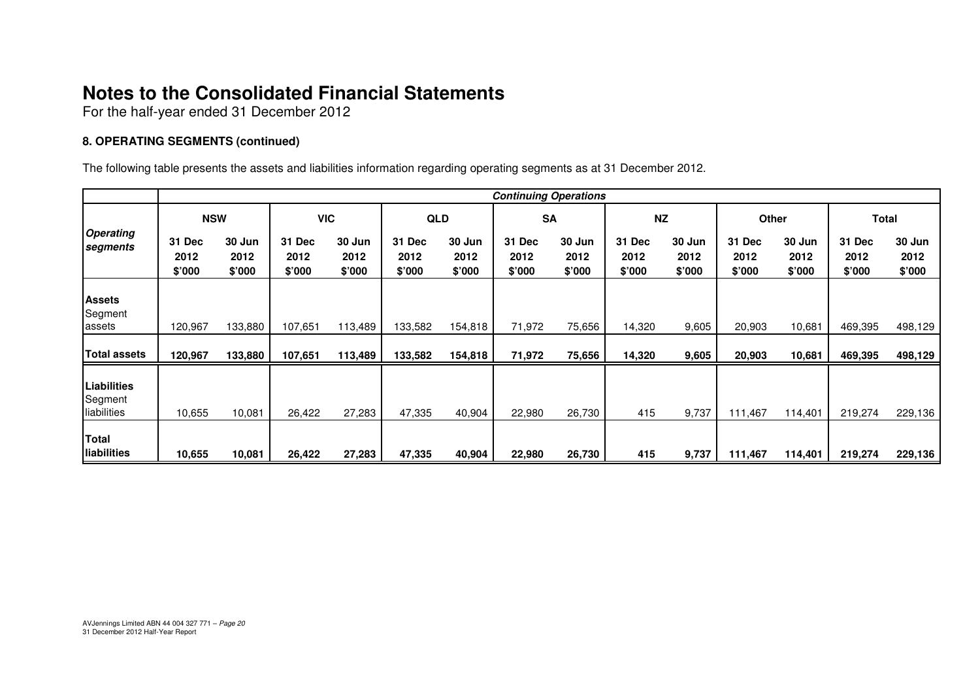For the half-year ended 31 December 2012

#### **8. OPERATING SEGMENTS (continued)**

The following table presents the assets and liabilities information regarding operating segments as at 31 December 2012.

|                                       | <b>Continuing Operations</b> |                          |                          |                          |                          |                          |                          |                          |                                 |                          |                          |                          |                          |                          |
|---------------------------------------|------------------------------|--------------------------|--------------------------|--------------------------|--------------------------|--------------------------|--------------------------|--------------------------|---------------------------------|--------------------------|--------------------------|--------------------------|--------------------------|--------------------------|
|                                       | <b>NSW</b>                   |                          | <b>VIC</b>               |                          | <b>QLD</b>               |                          | <b>SA</b>                |                          | <b>NZ</b>                       |                          | Other                    |                          | <b>Total</b>             |                          |
| <b>Operating</b><br>segments          | 31 Dec<br>2012<br>\$'000     | 30 Jun<br>2012<br>\$'000 | 31 Dec<br>2012<br>\$'000 | 30 Jun<br>2012<br>\$'000 | 31 Dec<br>2012<br>\$'000 | 30 Jun<br>2012<br>\$'000 | 31 Dec<br>2012<br>\$'000 | 30 Jun<br>2012<br>\$'000 | <b>31 Dec</b><br>2012<br>\$'000 | 30 Jun<br>2012<br>\$'000 | 31 Dec<br>2012<br>\$'000 | 30 Jun<br>2012<br>\$'000 | 31 Dec<br>2012<br>\$'000 | 30 Jun<br>2012<br>\$'000 |
| <b>Assets</b><br>Segment<br>lassets   | 120,967                      | 133,880                  | 107,651                  | 113,489                  | 133,582                  | 154,818                  | 71,972                   | 75,656                   | 14,320                          | 9,605                    | 20,903                   | 10,681                   | 469,395                  | 498,129                  |
| <b>Total assets</b>                   | 120,967                      | 133,880                  | 107,651                  | 113,489                  | 133,582                  | 154,818                  | 71,972                   | 75,656                   | 14,320                          | 9,605                    | 20,903                   | 10,681                   | 469,395                  | 498,129                  |
| Liabilities<br>Segment<br>liabilities | 10,655                       | 10,081                   | 26,422                   | 27,283                   | 47,335                   | 40,904                   | 22,980                   | 26,730                   | 415                             | 9,737                    | 111,467                  | 114,401                  | 219,274                  | 229,136                  |
| Total<br><b>Iliabilities</b>          | 10.655                       | 10,081                   | 26,422                   | 27,283                   | 47,335                   | 40,904                   | 22,980                   | 26,730                   | 415                             | 9,737                    | 111,467                  | 114,401                  | 219,274                  | 229,136                  |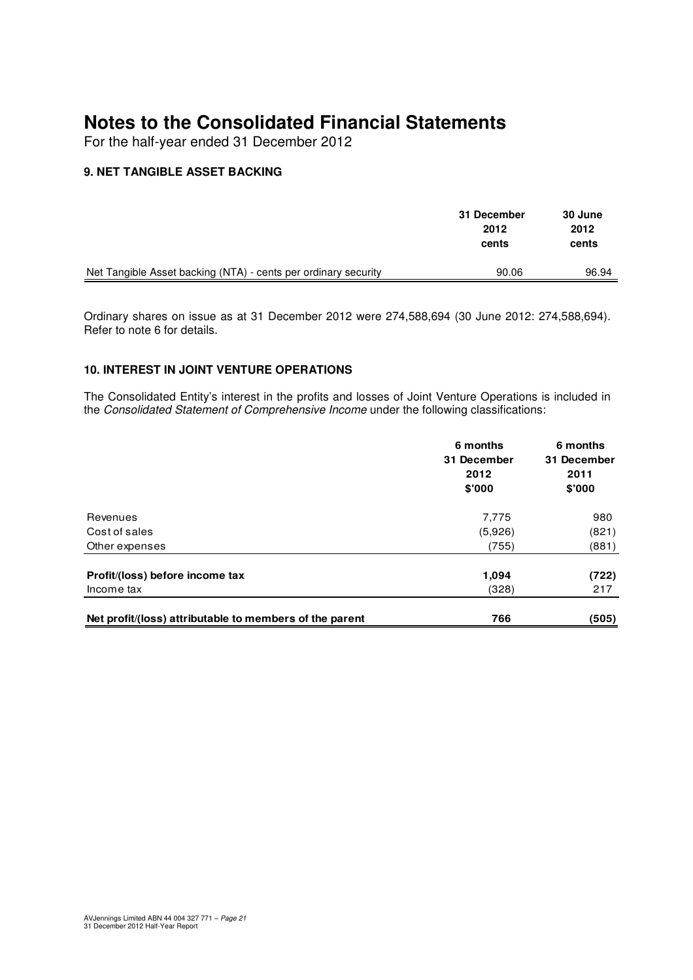For the half-year ended 31 December 2012

#### **9. NET TANGIBLE ASSET BACKING**

|                                                                | 31 December<br>2012<br>cents | 30 June<br>2012<br>cents |
|----------------------------------------------------------------|------------------------------|--------------------------|
| Net Tangible Asset backing (NTA) - cents per ordinary security | 90.06                        | 96.94                    |

Ordinary shares on issue as at 31 December 2012 were 274,588,694 (30 June 2012: 274,588,694). Refer to note 6 for details.

#### **10. INTEREST IN JOINT VENTURE OPERATIONS**

The Consolidated Entity's interest in the profits and losses of Joint Venture Operations is included in the Consolidated Statement of Comprehensive Income under the following classifications:

|                                                         | 6 months<br>31 December<br>2012<br>\$'000 | 6 months<br>31 December<br>2011<br>\$'000 |
|---------------------------------------------------------|-------------------------------------------|-------------------------------------------|
| Revenues                                                | 7,775                                     | 980                                       |
| Cost of sales                                           | (5,926)                                   | (821)                                     |
| Other expenses                                          | (755)                                     | (881)                                     |
| Profit/(loss) before income tax                         | 1,094                                     | (722)                                     |
| Income tax                                              | (328)                                     | 217                                       |
| Net profit/(loss) attributable to members of the parent | 766                                       | (505)                                     |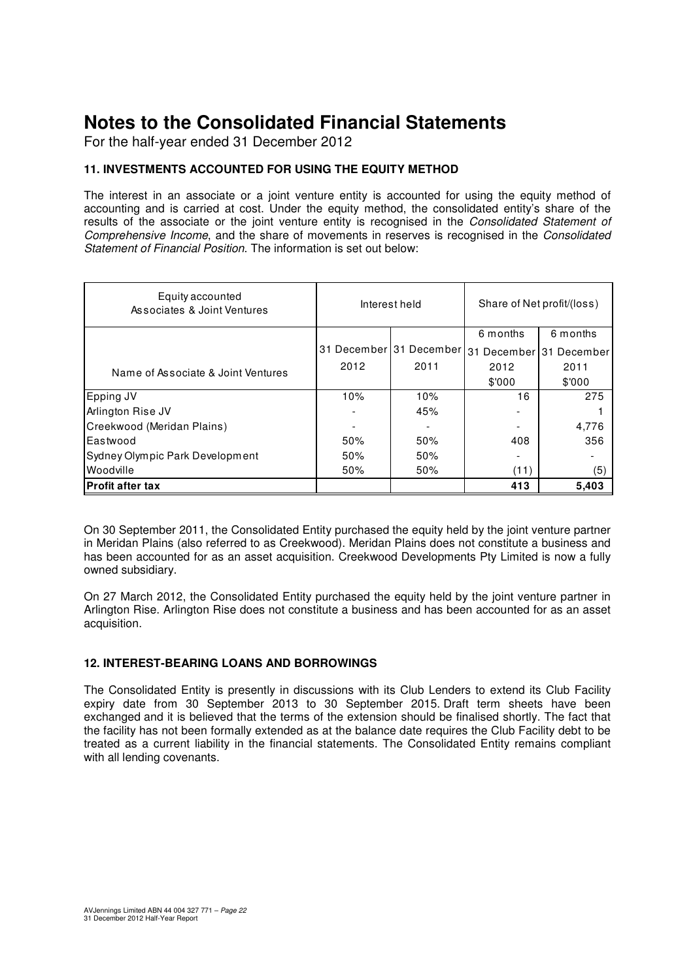For the half-year ended 31 December 2012

#### **11. INVESTMENTS ACCOUNTED FOR USING THE EQUITY METHOD**

The interest in an associate or a joint venture entity is accounted for using the equity method of accounting and is carried at cost. Under the equity method, the consolidated entity's share of the results of the associate or the joint venture entity is recognised in the Consolidated Statement of Comprehensive Income, and the share of movements in reserves is recognised in the Consolidated Statement of Financial Position. The information is set out below:

| Equity accounted<br>Associates & Joint Ventures |      | Interest held           | Share of Net profit/(loss) |             |  |
|-------------------------------------------------|------|-------------------------|----------------------------|-------------|--|
|                                                 |      |                         | 6 months                   | 6 months    |  |
|                                                 |      | 31 December 31 December | 31<br>December             | 31 December |  |
| Name of Associate & Joint Ventures              | 2012 | 2011                    | 2012                       | 2011        |  |
|                                                 |      |                         | \$'000                     | \$'000      |  |
| Epping JV                                       | 10%  | 10%                     | 16                         | 275         |  |
| Arlington Rise JV                               |      | 45%                     |                            |             |  |
| Creekwood (Meridan Plains)                      |      |                         |                            | 4,776       |  |
| Eastwood                                        | 50%  | 50%                     | 408                        | 356         |  |
| Sydney Olympic Park Development                 | 50%  | 50%                     |                            |             |  |
| Woodville                                       | 50%  | 50%                     | (11)                       | (5)         |  |
| <b>Profit after tax</b>                         |      |                         | 413                        | 5,403       |  |

On 30 September 2011, the Consolidated Entity purchased the equity held by the joint venture partner in Meridan Plains (also referred to as Creekwood). Meridan Plains does not constitute a business and has been accounted for as an asset acquisition. Creekwood Developments Pty Limited is now a fully owned subsidiary.

On 27 March 2012, the Consolidated Entity purchased the equity held by the joint venture partner in Arlington Rise. Arlington Rise does not constitute a business and has been accounted for as an asset acquisition.

#### **12. INTEREST-BEARING LOANS AND BORROWINGS**

The Consolidated Entity is presently in discussions with its Club Lenders to extend its Club Facility expiry date from 30 September 2013 to 30 September 2015. Draft term sheets have been exchanged and it is believed that the terms of the extension should be finalised shortly. The fact that the facility has not been formally extended as at the balance date requires the Club Facility debt to be treated as a current liability in the financial statements. The Consolidated Entity remains compliant with all lending covenants.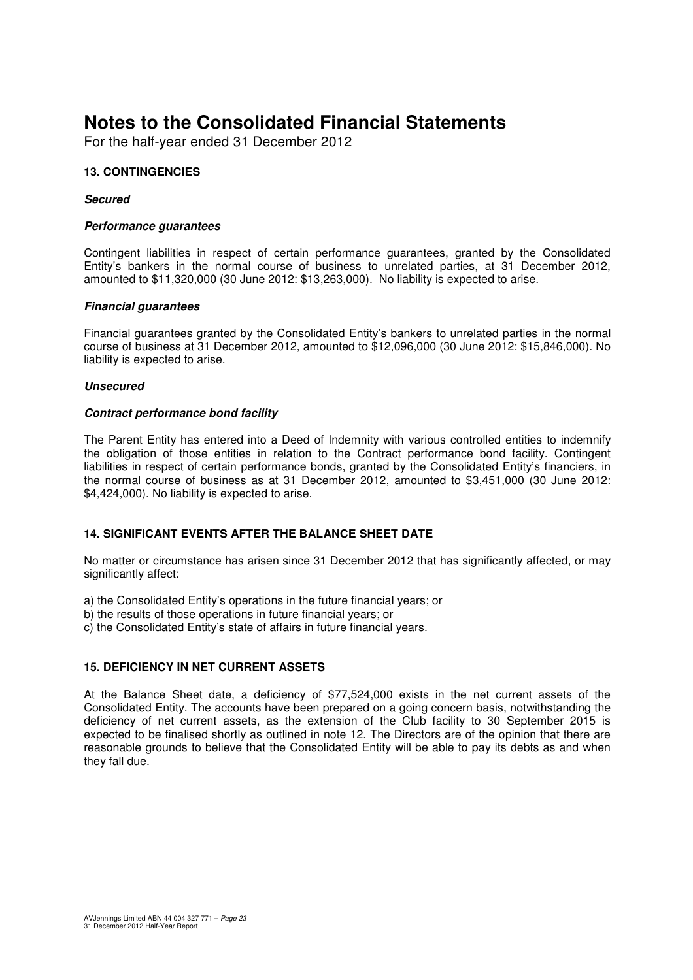For the half-year ended 31 December 2012

#### **13. CONTINGENCIES**

#### **Secured**

#### **Performance guarantees**

Contingent liabilities in respect of certain performance guarantees, granted by the Consolidated Entity's bankers in the normal course of business to unrelated parties, at 31 December 2012, amounted to \$11,320,000 (30 June 2012: \$13,263,000). No liability is expected to arise.

#### **Financial guarantees**

Financial guarantees granted by the Consolidated Entity's bankers to unrelated parties in the normal course of business at 31 December 2012, amounted to \$12,096,000 (30 June 2012: \$15,846,000). No liability is expected to arise.

#### **Unsecured**

#### **Contract performance bond facility**

The Parent Entity has entered into a Deed of Indemnity with various controlled entities to indemnify the obligation of those entities in relation to the Contract performance bond facility. Contingent liabilities in respect of certain performance bonds, granted by the Consolidated Entity's financiers, in the normal course of business as at 31 December 2012, amounted to \$3,451,000 (30 June 2012: \$4,424,000). No liability is expected to arise.

#### **14. SIGNIFICANT EVENTS AFTER THE BALANCE SHEET DATE**

No matter or circumstance has arisen since 31 December 2012 that has significantly affected, or may significantly affect:

a) the Consolidated Entity's operations in the future financial years; or

- b) the results of those operations in future financial years; or
- c) the Consolidated Entity's state of affairs in future financial years.

#### **15. DEFICIENCY IN NET CURRENT ASSETS**

At the Balance Sheet date, a deficiency of \$77,524,000 exists in the net current assets of the Consolidated Entity. The accounts have been prepared on a going concern basis, notwithstanding the deficiency of net current assets, as the extension of the Club facility to 30 September 2015 is expected to be finalised shortly as outlined in note 12. The Directors are of the opinion that there are reasonable grounds to believe that the Consolidated Entity will be able to pay its debts as and when they fall due.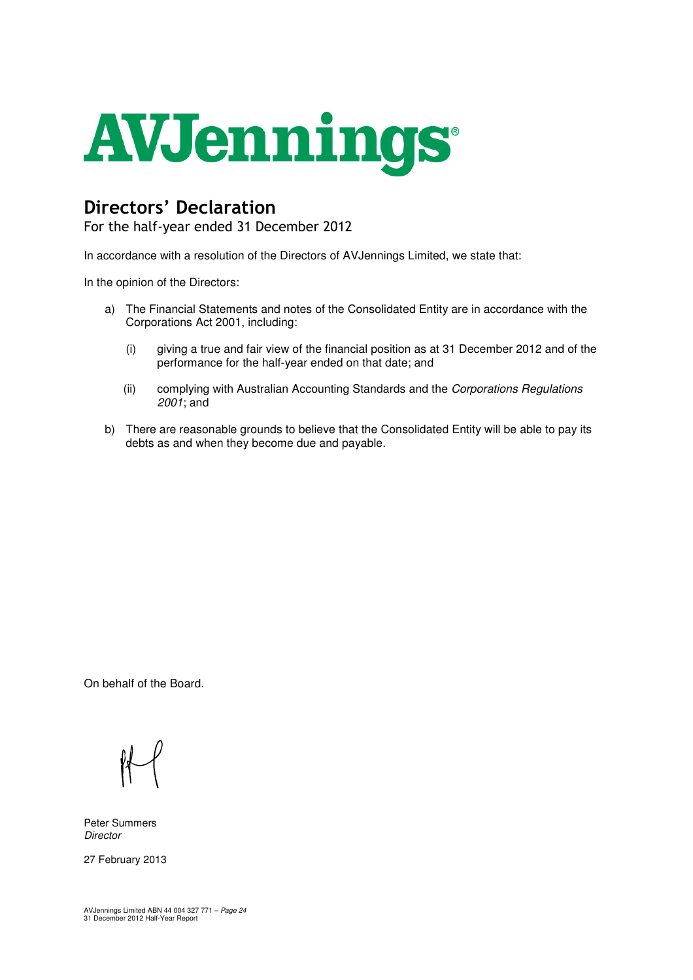

## Directors' Declaration

For the half-year ended 31 December 2012

In accordance with a resolution of the Directors of AVJennings Limited, we state that:

In the opinion of the Directors:

- a) The Financial Statements and notes of the Consolidated Entity are in accordance with the Corporations Act 2001, including:
	- (i) giving a true and fair view of the financial position as at 31 December 2012 and of the performance for the half-year ended on that date; and
	- (ii) complying with Australian Accounting Standards and the Corporations Regulations 2001; and
- b) There are reasonable grounds to believe that the Consolidated Entity will be able to pay its debts as and when they become due and payable.

On behalf of the Board.

Peter Summers **Director** 

27 February 2013

AVJennings Limited ABN 44 004 327 771 – Page 24 31 December 2012 Half-Year Report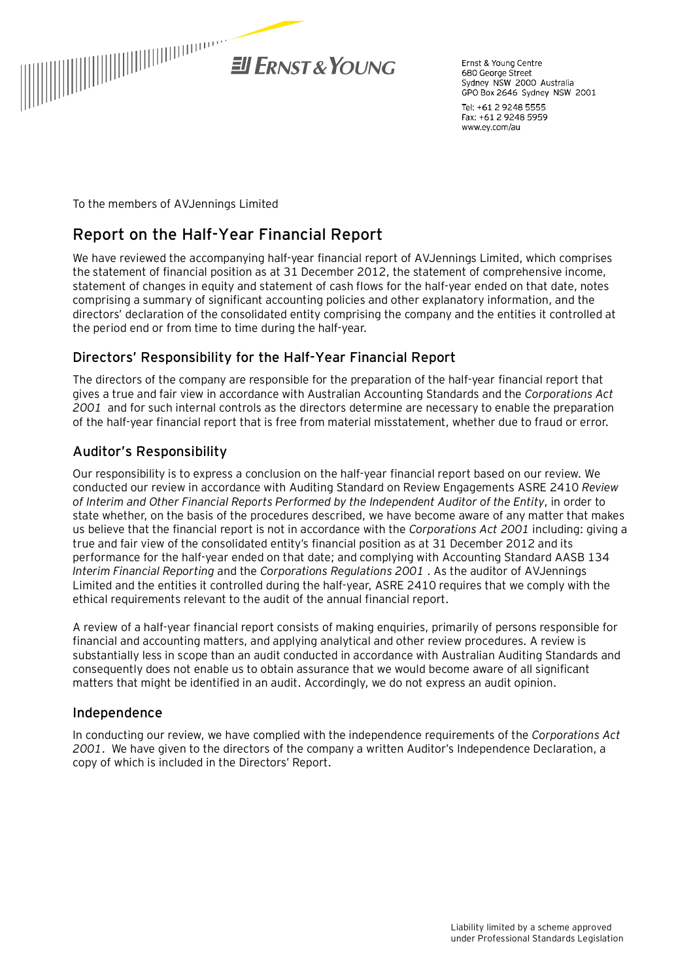

Ernst & Young Centre 680 George Street Sydney NSW 2000 Australia GPO Box 2646 Sydney NSW 2001

Tel: +61 2 9248 5555 Fax: +61 2 9248 5959 www.ey.com/au

To the members of AVJennings Limited

### **Report on the Half-Year Financial Report**

We have reviewed the accompanying half-year financial report of AVJennings Limited, which comprises the statement of financial position as at 31 December 2012, the statement of comprehensive income, statement of changes in equity and statement of cash flows for the half-year ended on that date, notes comprising a summary of significant accounting policies and other explanatory information, and the directors' declaration of the consolidated entity comprising the company and the entities it controlled at the period end or from time to time during the half-year.

#### Directors' Responsibility for the Half-Year Financial Report

The directors of the company are responsible for the preparation of the half-year financial report that gives a true and fair view in accordance with Australian Accounting Standards and the *Corporations Act 2001* and for such internal controls as the directors determine are necessary to enable the preparation of the half-year financial report that is free from material misstatement, whether due to fraud or error.

#### Auditor's Responsibility

Our responsibility is to express a conclusion on the half-year financial report based on our review. We conducted our review in accordance with Auditing Standard on Review Engagements ASRE 2410 *Review of Interim and Other Financial Reports Performed by the Independent Auditor of the Entity*, in order to state whether, on the basis of the procedures described, we have become aware of any matter that makes us believe that the financial report is not in accordance with the *Corporations Act 2001* including: giving a true and fair view of the consolidated entity's financial position as at 31 December 2012 and its performance for the half-year ended on that date; and complying with Accounting Standard AASB 134 *Interim Financial Reporting* and the *Corporations Regulations 2001* . As the auditor of AVJennings Limited and the entities it controlled during the half-year, ASRE 2410 requires that we comply with the ethical requirements relevant to the audit of the annual financial report.

A review of a half-year financial report consists of making enquiries, primarily of persons responsible for financial and accounting matters, and applying analytical and other review procedures. A review is substantially less in scope than an audit conducted in accordance with Australian Auditing Standards and consequently does not enable us to obtain assurance that we would become aware of all significant matters that might be identified in an audit. Accordingly, we do not express an audit opinion.

#### Independence

In conducting our review, we have complied with the independence requirements of the *Corporations Act 2001*. We have given to the directors of the company a written Auditor's Independence Declaration, a copy of which is included in the Directors' Report.